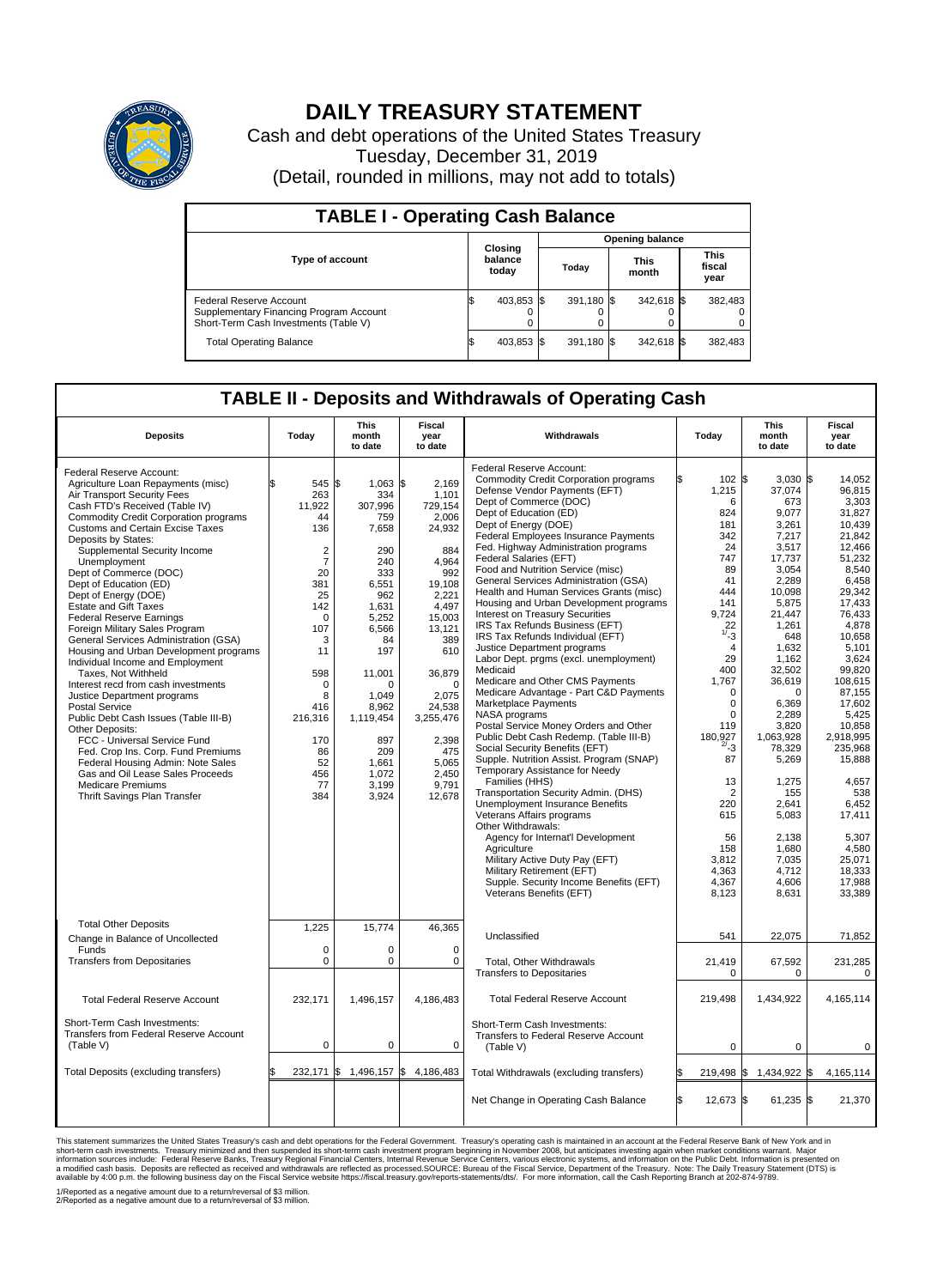

## **DAILY TREASURY STATEMENT**

Cash and debt operations of the United States Treasury Tuesday, December 31, 2019 (Detail, rounded in millions, may not add to totals)

| <b>TABLE I - Operating Cash Balance</b>                                                                     |                             |            |                        |            |  |                      |  |                               |  |  |  |
|-------------------------------------------------------------------------------------------------------------|-----------------------------|------------|------------------------|------------|--|----------------------|--|-------------------------------|--|--|--|
|                                                                                                             | Closing<br>balance<br>today |            | <b>Opening balance</b> |            |  |                      |  |                               |  |  |  |
| <b>Type of account</b>                                                                                      |                             |            | Today                  |            |  | <b>This</b><br>month |  | <b>This</b><br>fiscal<br>year |  |  |  |
| Federal Reserve Account<br>Supplementary Financing Program Account<br>Short-Term Cash Investments (Table V) |                             | 403,853 \$ |                        | 391.180 \$ |  | 342,618 \$           |  | 382,483                       |  |  |  |
| <b>Total Operating Balance</b>                                                                              | ß.                          | 403,853 \$ |                        | 391,180 \$ |  | 342,618 \$           |  | 382,483                       |  |  |  |

## **TABLE II - Deposits and Withdrawals of Operating Cash**

| <b>Deposits</b>                                                                                                                                                                                                                                                                                                                                                                                                                                                                                                                                                                                                                                                                                                                                                                                                                                                                                                                                                                                        | Today                                                                                                                                                                                                       | This<br>month<br>to date                                                                                                                                                                                                         | Fiscal<br>year<br>to date                                                                                                                                                                                                                    | Withdrawals                                                                                                                                                                                                                                                                                                                                                                                                                                                                                                                                                                                                                                                                                                                                                                                                                                                                                                                                                                                                                                                                                                                                                                                                                                                                                                                                     | Today                                                                                                                                                                                                                                                                                                              | This<br>month<br>to date                                                                                                                                                                                                                                                                                                               | Fiscal<br>year<br>to date                                                                                                                                                                                                                                                                                                                                   |  |
|--------------------------------------------------------------------------------------------------------------------------------------------------------------------------------------------------------------------------------------------------------------------------------------------------------------------------------------------------------------------------------------------------------------------------------------------------------------------------------------------------------------------------------------------------------------------------------------------------------------------------------------------------------------------------------------------------------------------------------------------------------------------------------------------------------------------------------------------------------------------------------------------------------------------------------------------------------------------------------------------------------|-------------------------------------------------------------------------------------------------------------------------------------------------------------------------------------------------------------|----------------------------------------------------------------------------------------------------------------------------------------------------------------------------------------------------------------------------------|----------------------------------------------------------------------------------------------------------------------------------------------------------------------------------------------------------------------------------------------|-------------------------------------------------------------------------------------------------------------------------------------------------------------------------------------------------------------------------------------------------------------------------------------------------------------------------------------------------------------------------------------------------------------------------------------------------------------------------------------------------------------------------------------------------------------------------------------------------------------------------------------------------------------------------------------------------------------------------------------------------------------------------------------------------------------------------------------------------------------------------------------------------------------------------------------------------------------------------------------------------------------------------------------------------------------------------------------------------------------------------------------------------------------------------------------------------------------------------------------------------------------------------------------------------------------------------------------------------|--------------------------------------------------------------------------------------------------------------------------------------------------------------------------------------------------------------------------------------------------------------------------------------------------------------------|----------------------------------------------------------------------------------------------------------------------------------------------------------------------------------------------------------------------------------------------------------------------------------------------------------------------------------------|-------------------------------------------------------------------------------------------------------------------------------------------------------------------------------------------------------------------------------------------------------------------------------------------------------------------------------------------------------------|--|
| Federal Reserve Account:<br>Agriculture Loan Repayments (misc)<br>Air Transport Security Fees<br>Cash FTD's Received (Table IV)<br><b>Commodity Credit Corporation programs</b><br><b>Customs and Certain Excise Taxes</b><br>Deposits by States:<br>Supplemental Security Income<br>Unemployment<br>Dept of Commerce (DOC)<br>Dept of Education (ED)<br>Dept of Energy (DOE)<br><b>Estate and Gift Taxes</b><br><b>Federal Reserve Earnings</b><br>Foreign Military Sales Program<br>General Services Administration (GSA)<br>Housing and Urban Development programs<br>Individual Income and Employment<br>Taxes. Not Withheld<br>Interest recd from cash investments<br>Justice Department programs<br><b>Postal Service</b><br>Public Debt Cash Issues (Table III-B)<br>Other Deposits:<br>FCC - Universal Service Fund<br>Fed. Crop Ins. Corp. Fund Premiums<br>Federal Housing Admin: Note Sales<br>Gas and Oil Lease Sales Proceeds<br><b>Medicare Premiums</b><br>Thrift Savings Plan Transfer | \$.<br>545 \$<br>263<br>11,922<br>44<br>136<br>2<br>$\overline{7}$<br>20<br>381<br>25<br>142<br>$\Omega$<br>107<br>3<br>11<br>598<br>$\Omega$<br>8<br>416<br>216,316<br>170<br>86<br>52<br>456<br>77<br>384 | $1.063$ \$<br>334<br>307,996<br>759<br>7,658<br>290<br>240<br>333<br>6,551<br>962<br>1,631<br>5,252<br>6,566<br>84<br>197<br>11.001<br>$\Omega$<br>1.049<br>8,962<br>1,119,454<br>897<br>209<br>1,661<br>1,072<br>3,199<br>3,924 | 2.169<br>1,101<br>729,154<br>2,006<br>24,932<br>884<br>4.964<br>992<br>19,108<br>2,221<br>4,497<br>15,003<br>13,121<br>389<br>610<br>36,879<br>$\Omega$<br>2,075<br>24,538<br>3,255,476<br>2,398<br>475<br>5,065<br>2,450<br>9,791<br>12,678 | Federal Reserve Account:<br><b>Commodity Credit Corporation programs</b><br>Defense Vendor Payments (EFT)<br>Dept of Commerce (DOC)<br>Dept of Education (ED)<br>Dept of Energy (DOE)<br><b>Federal Employees Insurance Payments</b><br>Fed. Highway Administration programs<br>Federal Salaries (EFT)<br>Food and Nutrition Service (misc)<br>General Services Administration (GSA)<br>Health and Human Services Grants (misc)<br>Housing and Urban Development programs<br><b>Interest on Treasury Securities</b><br>IRS Tax Refunds Business (EFT)<br>IRS Tax Refunds Individual (EFT)<br>Justice Department programs<br>Labor Dept. prgms (excl. unemployment)<br>Medicaid<br>Medicare and Other CMS Payments<br>Medicare Advantage - Part C&D Payments<br>Marketplace Payments<br>NASA programs<br>Postal Service Money Orders and Other<br>Public Debt Cash Redemp. (Table III-B)<br>Social Security Benefits (EFT)<br>Supple. Nutrition Assist. Program (SNAP)<br>Temporary Assistance for Needy<br>Families (HHS)<br>Transportation Security Admin. (DHS)<br>Unemployment Insurance Benefits<br>Veterans Affairs programs<br>Other Withdrawals:<br>Agency for Internat'l Development<br>Agriculture<br>Military Active Duty Pay (EFT)<br>Military Retirement (EFT)<br>Supple. Security Income Benefits (EFT)<br>Veterans Benefits (EFT) | ß.<br>102 \$<br>1,215<br>6<br>824<br>181<br>342<br>24<br>747<br>89<br>41<br>444<br>141<br>9,724<br>22<br>$1/ -3$<br>$\overline{4}$<br>29<br>400<br>1,767<br>$\mathbf 0$<br>$\mathbf 0$<br>$\Omega$<br>119<br>180,927<br>$^{2/-}$ 3<br>87<br>13<br>2<br>220<br>615<br>56<br>158<br>3,812<br>4.363<br>4,367<br>8,123 | $3,030$ \$<br>37,074<br>673<br>9,077<br>3.261<br>7,217<br>3,517<br>17,737<br>3,054<br>2,289<br>10.098<br>5,875<br>21,447<br>1,261<br>648<br>1,632<br>1,162<br>32,502<br>36,619<br>0<br>6,369<br>2,289<br>3.820<br>1,063,928<br>78,329<br>5,269<br>1,275<br>155<br>2,641<br>5,083<br>2,138<br>1.680<br>7,035<br>4.712<br>4,606<br>8,631 | 14,052<br>96.815<br>3,303<br>31,827<br>10.439<br>21,842<br>12.466<br>51,232<br>8,540<br>6,458<br>29.342<br>17,433<br>76,433<br>4,878<br>10,658<br>5,101<br>3.624<br>99,820<br>108,615<br>87,155<br>17,602<br>5,425<br>10.858<br>2,918,995<br>235,968<br>15,888<br>4,657<br>538<br>6,452<br>17,411<br>5,307<br>4.580<br>25,071<br>18.333<br>17,988<br>33,389 |  |
| <b>Total Other Deposits</b><br>Change in Balance of Uncollected<br>Funds<br><b>Transfers from Depositaries</b>                                                                                                                                                                                                                                                                                                                                                                                                                                                                                                                                                                                                                                                                                                                                                                                                                                                                                         | 1,225<br>$\mathbf 0$<br>0                                                                                                                                                                                   | 15,774<br>0<br>0                                                                                                                                                                                                                 | 46,365<br>$\mathbf 0$<br>0                                                                                                                                                                                                                   | Unclassified<br>Total, Other Withdrawals<br><b>Transfers to Depositaries</b>                                                                                                                                                                                                                                                                                                                                                                                                                                                                                                                                                                                                                                                                                                                                                                                                                                                                                                                                                                                                                                                                                                                                                                                                                                                                    | 541<br>21,419<br>0                                                                                                                                                                                                                                                                                                 | 22,075<br>67,592<br>0                                                                                                                                                                                                                                                                                                                  | 71,852<br>231,285<br>0                                                                                                                                                                                                                                                                                                                                      |  |
| <b>Total Federal Reserve Account</b>                                                                                                                                                                                                                                                                                                                                                                                                                                                                                                                                                                                                                                                                                                                                                                                                                                                                                                                                                                   | 232,171                                                                                                                                                                                                     | 1,496,157                                                                                                                                                                                                                        | 4,186,483                                                                                                                                                                                                                                    | <b>Total Federal Reserve Account</b>                                                                                                                                                                                                                                                                                                                                                                                                                                                                                                                                                                                                                                                                                                                                                                                                                                                                                                                                                                                                                                                                                                                                                                                                                                                                                                            | 219.498                                                                                                                                                                                                                                                                                                            | 1.434.922                                                                                                                                                                                                                                                                                                                              | 4.165.114                                                                                                                                                                                                                                                                                                                                                   |  |
| Short-Term Cash Investments:<br>Transfers from Federal Reserve Account<br>(Table V)                                                                                                                                                                                                                                                                                                                                                                                                                                                                                                                                                                                                                                                                                                                                                                                                                                                                                                                    | $\mathbf 0$                                                                                                                                                                                                 | 0                                                                                                                                                                                                                                | 0                                                                                                                                                                                                                                            | Short-Term Cash Investments:<br>Transfers to Federal Reserve Account<br>(Table V)                                                                                                                                                                                                                                                                                                                                                                                                                                                                                                                                                                                                                                                                                                                                                                                                                                                                                                                                                                                                                                                                                                                                                                                                                                                               | $\mathbf 0$                                                                                                                                                                                                                                                                                                        | 0                                                                                                                                                                                                                                                                                                                                      | $\mathbf 0$                                                                                                                                                                                                                                                                                                                                                 |  |
| Total Deposits (excluding transfers)                                                                                                                                                                                                                                                                                                                                                                                                                                                                                                                                                                                                                                                                                                                                                                                                                                                                                                                                                                   | \$                                                                                                                                                                                                          | 232,171 \$ 1,496,157 \$                                                                                                                                                                                                          | 4,186,483                                                                                                                                                                                                                                    | Total Withdrawals (excluding transfers)                                                                                                                                                                                                                                                                                                                                                                                                                                                                                                                                                                                                                                                                                                                                                                                                                                                                                                                                                                                                                                                                                                                                                                                                                                                                                                         | 219,498                                                                                                                                                                                                                                                                                                            | 1,434,922 \$<br>l\$                                                                                                                                                                                                                                                                                                                    | 4,165,114                                                                                                                                                                                                                                                                                                                                                   |  |
|                                                                                                                                                                                                                                                                                                                                                                                                                                                                                                                                                                                                                                                                                                                                                                                                                                                                                                                                                                                                        |                                                                                                                                                                                                             |                                                                                                                                                                                                                                  |                                                                                                                                                                                                                                              | Net Change in Operating Cash Balance                                                                                                                                                                                                                                                                                                                                                                                                                                                                                                                                                                                                                                                                                                                                                                                                                                                                                                                                                                                                                                                                                                                                                                                                                                                                                                            | 12,673 \$                                                                                                                                                                                                                                                                                                          | 61,235 \$                                                                                                                                                                                                                                                                                                                              | 21,370                                                                                                                                                                                                                                                                                                                                                      |  |

This statement summarizes the United States Treasury's cash and debt operations for the Federal Government. Treasury soperating in November 2008, but anticianded in account at the Federal Reserve Bank of New York and in<br>sh

1/Reported as a negative amount due to a return/reversal of \$3 million. 2/Reported as a negative amount due to a return/reversal of \$3 million.